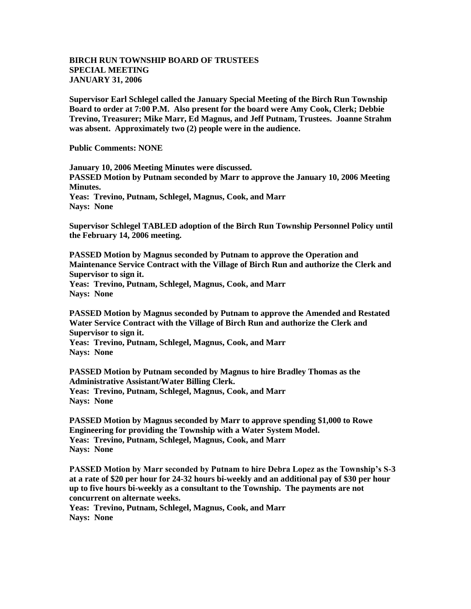## **BIRCH RUN TOWNSHIP BOARD OF TRUSTEES SPECIAL MEETING JANUARY 31, 2006**

**Supervisor Earl Schlegel called the January Special Meeting of the Birch Run Township Board to order at 7:00 P.M. Also present for the board were Amy Cook, Clerk; Debbie Trevino, Treasurer; Mike Marr, Ed Magnus, and Jeff Putnam, Trustees. Joanne Strahm was absent. Approximately two (2) people were in the audience.** 

**Public Comments: NONE**

**January 10, 2006 Meeting Minutes were discussed. PASSED Motion by Putnam seconded by Marr to approve the January 10, 2006 Meeting Minutes.**

**Yeas: Trevino, Putnam, Schlegel, Magnus, Cook, and Marr Nays: None**

**Supervisor Schlegel TABLED adoption of the Birch Run Township Personnel Policy until the February 14, 2006 meeting.**

**PASSED Motion by Magnus seconded by Putnam to approve the Operation and Maintenance Service Contract with the Village of Birch Run and authorize the Clerk and Supervisor to sign it.**

**Yeas: Trevino, Putnam, Schlegel, Magnus, Cook, and Marr Nays: None**

**PASSED Motion by Magnus seconded by Putnam to approve the Amended and Restated Water Service Contract with the Village of Birch Run and authorize the Clerk and Supervisor to sign it.**

**Yeas: Trevino, Putnam, Schlegel, Magnus, Cook, and Marr Nays: None**

**PASSED Motion by Putnam seconded by Magnus to hire Bradley Thomas as the Administrative Assistant/Water Billing Clerk. Yeas: Trevino, Putnam, Schlegel, Magnus, Cook, and Marr Nays: None**

**PASSED Motion by Magnus seconded by Marr to approve spending \$1,000 to Rowe Engineering for providing the Township with a Water System Model. Yeas: Trevino, Putnam, Schlegel, Magnus, Cook, and Marr Nays: None**

**PASSED Motion by Marr seconded by Putnam to hire Debra Lopez as the Township's S-3 at a rate of \$20 per hour for 24-32 hours bi-weekly and an additional pay of \$30 per hour up to five hours bi-weekly as a consultant to the Township. The payments are not concurrent on alternate weeks.**

**Yeas: Trevino, Putnam, Schlegel, Magnus, Cook, and Marr Nays: None**